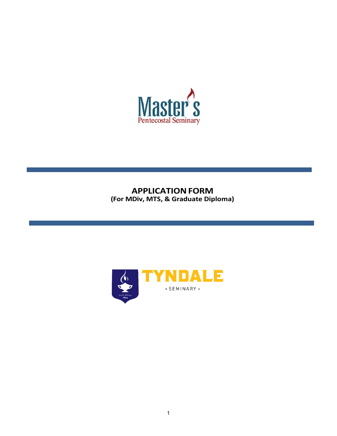

## **APPLICATION FORM (For MDiv, MTS, & Graduate Diploma)**

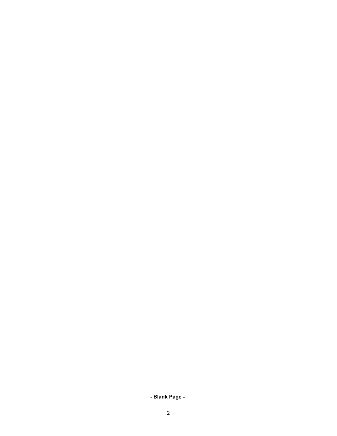**- Blank Page -**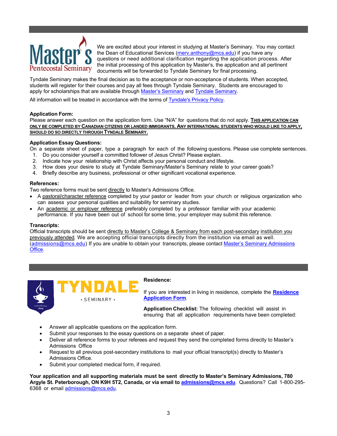

We are excited about your interest in studying at Master's Seminary. You may contact the Dean of Educational Services [\(merv.anthony@mcs.edu\)](mailto:merv.anthony@mcs.edu) if you have any questions or need additional clarification regarding the application process. After the initial processing of this application by Master's, the application and all pertinent documents will be forwarded to Tyndale Seminary for final processing.

Tyndale Seminary makes the final decision as to the acceptance or non-acceptance of students. When accepted, students will register for their courses and pay all fees through Tyndale Seminary. Students are encouraged to apply for scholarships that are available through [Master's Seminary](https://mpseminary.com/financial-aid) an[d Tyndale Seminary.](https://www.tyndale.ca/financial-aid-services/aid)

All information will be treated in accordance with the terms of **Tyndale's Privacy Policy**.

### **Application Form:**

Please answer each question on the application form. Use "N/A" for questions that do not apply. **THIS APPLICATION CAN ONLY BE COMPLETED BY CANADIAN CITIZENS OR LANDED IMMIGRANTS. ANY INTERNATIONAL STUDENTS WHO WOULD LIKE TO APPLY, SHOULD DO SO DIRECTLY THROUGH TYNDALE SEMINARY.** 

### **Application Essay Questions:**

On a separate sheet of paper, type a paragraph for each of the following questions. Please use complete sentences.

- 1. Do you consider yourself a committed follower of Jesus Christ? Please explain.
- 2. Indicate how your relationship with Christ affects your personal conduct and lifestyle.
- 3. How does your desire to study at Tyndale Seminary/Master's Seminary relate to your career goals?
- 4. Briefly describe any business, professional or other significant vocational experience.

### **References:**

Two reference forms must be sent directly to Master's Admissions Office.

- A pastoral/character reference completed by your pastor or leader from your church or religious organization who can assess your personal qualities and suitability for seminary studies.
- An academic or employer reference preferably completed by a professor familiar with your academic performance. If you have been out of school for some time, your employer may submit this reference.

### **Transcripts:**

Official transcripts should be sent directly to Master's College & Seminary from each post-secondary institution you previously attended. We are accepting official transcripts directly from the institution via email as well. [\(admissions@mcs.edu\)](mailto:admissions@mcs.edu) If you are unable to obtain your transcripts, please contact [Master's Seminary Admissions](mailto:admissions@mcs.edu) [Office.](mailto:admissions@mcs.edu)



### **Residence:**

If you are interested in living in residence, complete the **[Residence](https://www.tyndale.ca/seminary/student-life/residence) [Application](https://www.tyndale.ca/seminary/student-life/residence) Form**.

**Application Checklist:** The following checklist will assist in ensuring that all application requirements have been completed:

- Answer all applicable questions on the application form.
- Submit your responses to the essay questions on a separate sheet of paper.
- Deliver all reference forms to your referees and request they send the completed forms directly to Master's Admissions Office
- Request to all previous post-secondary institutions to mail your official transcript(s) directly to Master's Admissions Office.
- Submit your completed medical form, if required.

**Your application and all supporting materials must be sent directly to Master's Seminary Admissions, 780 Argyle St. Peterborough, ON K9H 5T2, Canada, or via email to [admissions@mcs.edu](mailto:admissions@mcs.edu)**. Questions? Call 1-800-295- 6368 or email [admissions@mcs.edu.](mailto:admissions@mcs.edu.)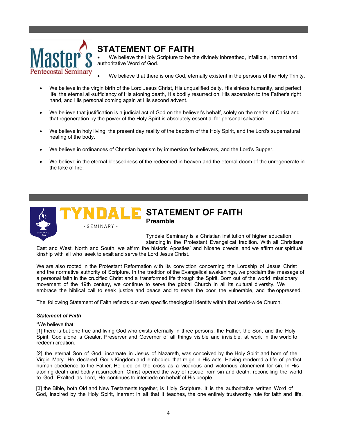

## **STATEMENT OF FAITH**

We believe the Holy Scripture to be the divinely inbreathed, infallible, inerrant and authoritative Word of God.

- We believe that there is one God, eternally existent in the persons of the Holy Trinity.
- We believe in the virgin birth of the Lord Jesus Christ, His unqualified deity, His sinless humanity, and perfect life, the eternal all-sufficiency of His atoning death, His bodily resurrection, His ascension to the Father's right hand, and His personal coming again at His second advent.
- We believe that justification is a judicial act of God on the believer's behalf, solely on the merits of Christ and that regeneration by the power of the Holy Spirit is absolutely essential for personal salvation.
- We believe in holy living, the present day reality of the baptism of the Holy Spirit, and the Lord's supernatural healing of the body.
- We believe in ordinances of Christian baptism by immersion for believers, and the Lord's Supper.
- We believe in the eternal blessedness of the redeemed in heaven and the eternal doom of the unregenerate in the lake of fire.



## **STATEMENT OF FAITH Preamble**

Tyndale Seminary is a Christian institution of higher education standing in the Protestant Evangelical tradition. With all Christians

East and West, North and South, we affirm the historic Apostles' and Nicene creeds, and we affirm our spiritual kinship with all who seek to exalt and serve the Lord Jesus Christ.

We are also rooted in the Protestant Reformation with its conviction concerning the Lordship of Jesus Christ and the normative authority of Scripture. In the tradition of the Evangelical awakenings, we proclaim the message of a personal faith in the crucified Christ and a transformed life through the Spirit. Born out of the world missionary movement of the 19th century, we continue to serve the global Church in all its cultural diversity. We embrace the biblical call to seek justice and peace and to serve the poor, the vulnerable, and the oppressed.

The following Statement of Faith reflects our own specific theological identity within that world-wide Church.

### *Statement of Faith*

"We believe that:

[1] there is but one true and living God who exists eternally in three persons, the Father, the Son, and the Holy Spirit. God alone is Creator, Preserver and Governor of all things visible and invisible, at work in the world to redeem creation.

[2] the eternal Son of God, incarnate in Jesus of Nazareth, was conceived by the Holy Spirit and born of the Virgin Mary. He declared God's Kingdom and embodied that reign in His acts. Having rendered a life of perfect human obedience to the Father, He died on the cross as a vicarious and victorious atonement for sin. In His atoning death and bodily resurrection, Christ opened the way of rescue from sin and death, reconciling the world to God. Exalted as Lord, He continues to intercede on behalf of His people.

[3] the Bible, both Old and New Testaments together, is Holy Scripture. It is the authoritative written Word of God, inspired by the Holy Spirit, inerrant in all that it teaches, the one entirely trustworthy rule for faith and life.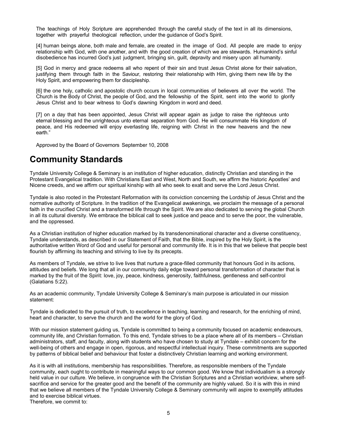The teachings of Holy Scripture are apprehended through the careful study of the text in all its dimensions, together with prayerful theological reflection, under the guidance of God's Spirit.

[4] human beings alone, both male and female, are created in the image of God. All people are made to enjoy relationship with God, with one another, and with the good creation of which we are stewards. Humankind's sinful disobedience has incurred God's just judgment, bringing sin, guilt, depravity and misery upon all humanity.

[5] God in mercy and grace redeems all who repent of their sin and trust Jesus Christ alone for their salvation, justifying them through faith in the Saviour, restoring their relationship with Him, giving them new life by the Holy Spirit, and empowering them for discipleship.

[6] the one holy, catholic and apostolic church occurs in local communities of believers all over the world. The Church is the Body of Christ, the people of God, and the fellowship of the Spirit, sent into the world to glorify Jesus Christ and to bear witness to God's dawning Kingdom in word and deed.

[7] on a day that has been appointed, Jesus Christ will appear again as judge to raise the righteous unto eternal blessing and the unrighteous unto eternal separation from God. He will consummate His kingdom of peace, and His redeemed will enjoy everlasting life, reigning with Christ in the new heavens and the new earth."

Approved by the Board of Governors September 10, 2008

## **Community Standards**

Tyndale University College & Seminary is an institution of higher education, distinctly Christian and standing in the Protestant Evangelical tradition. With Christians East and West, North and South, we affirm the historic Apostles' and Nicene creeds, and we affirm our spiritual kinship with all who seek to exalt and serve the Lord Jesus Christ.

Tyndale is also rooted in the Protestant Reformation with its conviction concerning the Lordship of Jesus Christ and the normative authority of Scripture. In the tradition of the Evangelical awakenings, we proclaim the message of a personal faith in the crucified Christ and a transformed life through the Spirit. We are also dedicated to serving the global Church in all its cultural diversity. We embrace the biblical call to seek justice and peace and to serve the poor, the vulnerable, and the oppressed.

As a Christian institution of higher education marked by its transdenominational character and a diverse constituency, Tyndale understands, as described in our Statement of Faith, that the Bible, inspired by the Holy Spirit, is the authoritative written Word of God and useful for personal and community life. It is in this that we believe that people best flourish by affirming its teaching and striving to live by its precepts.

As members of Tyndale, we strive to live lives that nurture a grace-filled community that honours God in its actions, attitudes and beliefs. We long that all in our community daily edge toward personal transformation of character that is marked by the fruit of the Spirit: love, joy, peace, kindness, generosity, faithfulness, gentleness and self-control (Galatians 5:22).

As an academic community, Tyndale University College & Seminary's main purpose is articulated in our mission statement:

Tyndale is dedicated to the pursuit of truth, to excellence in teaching, learning and research, for the enriching of mind, heart and character, to serve the church and the world for the glory of God.

With our mission statement guiding us, Tyndale is committed to being a community focused on academic endeavours, community life, and Christian formation. To this end, Tyndale strives to be a place where all of its members – Christian administrators, staff, and faculty, along with students who have chosen to study at Tyndale – exhibit concern for the well-being of others and engage in open, rigorous, and respectful intellectual inquiry. These commitments are supported by patterns of biblical belief and behaviour that foster a distinctively Christian learning and working environment.

As it is with all institutions, membership has responsibilities. Therefore, as responsible members of the Tyndale community, each ought to contribute in meaningful ways to our common good. We know that individualism is a strongly held value in our culture. We believe, in congruence with the Christian Scriptures and a Christian worldview, where selfsacrifice and service for the greater good and the benefit of the community are highly valued. So it is with this in mind that we believe all members of the Tyndale University College & Seminary community will aspire to exemplify attitudes and to exercise biblical virtues.

Therefore, we commit to: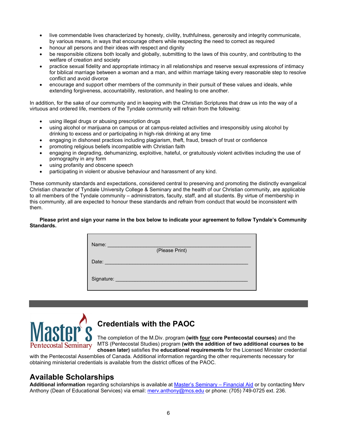- live commendable lives characterized by honesty, civility, truthfulness, generosity and integrity communicate, by various means, in ways that encourage others while respecting the need to correct as required
- honour all persons and their ideas with respect and dignity
- be responsible citizens both locally and globally, submitting to the laws of this country, and contributing to the welfare of creation and society
- practice sexual fidelity and appropriate intimacy in all relationships and reserve sexual expressions of intimacy for biblical marriage between a woman and a man, and within marriage taking every reasonable step to resolve conflict and avoid divorce
- encourage and support other members of the community in their pursuit of these values and ideals, while extending forgiveness, accountability, restoration, and healing to one another.

In addition, for the sake of our community and in keeping with the Christian Scriptures that draw us into the way of a virtuous and ordered life, members of the Tyndale community will refrain from the following:

- using illegal drugs or abusing prescription drugs
- using alcohol or marijuana on campus or at campus-related activities and irresponsibly using alcohol by drinking to excess and or participating in high‐risk drinking at any time
- engaging in dishonest practices including plagiarism, theft, fraud, breach of trust or confidence
- promoting religious beliefs incompatible with Christian faith
- engaging in degrading, dehumanizing, exploitive, hateful, or gratuitously violent activities including the use of pornography in any form
- using profanity and obscene speech
- participating in violent or abusive behaviour and harassment of any kind.

These community standards and expectations, considered central to preserving and promoting the distinctly evangelical Christian character of Tyndale University College & Seminary and the health of our Christian community, are applicable to all members of the Tyndale community – administrators, faculty, staff, and all students. By virtue of membership in this community, all are expected to honour these standards and refrain from conduct that would be inconsistent with them.

**Please print and sign your name in the box below to indicate your agreement to follow Tyndale's Community Standards.**

| Name:                                                                                                                |
|----------------------------------------------------------------------------------------------------------------------|
| (Please Print)                                                                                                       |
| Date: <u>Date: Date: Date: Date: Date: Date: Date: Date: Date: Date: Date: Date: Date: Date: Date: Date: Date: D</u> |
|                                                                                                                      |



# **Credentials with the PAOC**

The completion of the M.Div. program **(with four core Pentecostal courses)** and the MTS (Pentecostal Studies) program **(with the addition of two additional courses to be chosen later)** satisfies the **educational requirements** for the Licensed Minister credential

with the Pentecostal Assemblies of Canada. Additional information regarding the other requirements necessary for obtaining ministerial credentials is available from the district offices of the PAOC.

## **Available Scholarships**

**Additional information** regarding scholarships is available at [Master's Seminary – Financial Aid](http://mpseminary.com/financial-aid) or by contacting Merv Anthony (Dean of Educational Services) via email: [merv.anthony@mcs.edu](mailto:merv.anthony@mcs.edu) or phone: (705) 749-0725 ext. 236.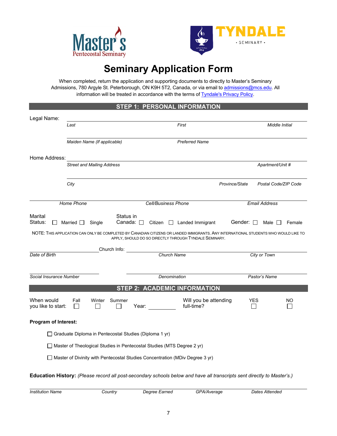



# **Seminary Application Form**

When completed, return the application and supporting documents to directly to Master's Seminary Admissions, 780 Argyle St. Peterborough, ON K9H 5T2, Canada, or via email to [admissions@mcs.edu.](mailto:admissions@mcs.edu) All information will be treated in accordance with the terms of Tyndale's [Privacy Policy.](http://www.tyndale.ca/privacy)

### **STEP 1: PERSONAL INFORMATION**

| Legal Name:                      |                                                          |                                   |                        |                     |                                                                                |                                                                                                                                      |                   |                      |        |
|----------------------------------|----------------------------------------------------------|-----------------------------------|------------------------|---------------------|--------------------------------------------------------------------------------|--------------------------------------------------------------------------------------------------------------------------------------|-------------------|----------------------|--------|
|                                  | Last                                                     |                                   |                        |                     | First                                                                          |                                                                                                                                      |                   | Middle Initial       |        |
|                                  |                                                          | Maiden Name (If applicable)       |                        |                     | <b>Preferred Name</b>                                                          |                                                                                                                                      |                   |                      |        |
| Home Address:                    |                                                          |                                   |                        |                     |                                                                                |                                                                                                                                      |                   |                      |        |
|                                  |                                                          | <b>Street and Mailing Address</b> |                        |                     |                                                                                |                                                                                                                                      |                   | Apartment/Unit #     |        |
|                                  | City                                                     |                                   |                        |                     |                                                                                | Province/State                                                                                                                       |                   | Postal Code/ZIP Code |        |
|                                  | Home Phone                                               |                                   |                        | Cell/Business Phone |                                                                                |                                                                                                                                      |                   | <b>Email Address</b> |        |
| Marital<br>Status:               | Married $\Box$                                           | Single                            | Status in<br>Canada: □ |                     | Citizen   Landed Immigrant                                                     |                                                                                                                                      | Gender: $\square$ | Male $\Box$          | Female |
|                                  |                                                          |                                   |                        |                     | APPLY, SHOULD DO SO DIRECTLY THROUGH TYNDALE SEMINARY.                         | NOTE: THIS APPLICATION CAN ONLY BE COMPLETED BY CANADIAN CITIZENS OR LANDED IMMIGRANTS. ANY INTERNATIONAL STUDENTS WHO WOULD LIKE TO |                   |                      |        |
| Date of Birth                    |                                                          |                                   | Church Info:           |                     | Church Name                                                                    |                                                                                                                                      |                   | City or Town         |        |
|                                  |                                                          |                                   |                        |                     |                                                                                |                                                                                                                                      |                   |                      |        |
| Social Insurance Number          |                                                          |                                   |                        |                     | Denomination                                                                   |                                                                                                                                      |                   | Pastor's Name        |        |
|                                  |                                                          |                                   |                        |                     | <b>STEP 2: ACADEMIC INFORMATION</b>                                            |                                                                                                                                      |                   |                      |        |
| When would<br>you like to start: | Fall                                                     | Winter                            | Summer                 |                     | full-time?                                                                     | Will you be attending                                                                                                                | <b>YES</b>        |                      | NO     |
| <b>Program of Interest:</b>      |                                                          |                                   |                        |                     |                                                                                |                                                                                                                                      |                   |                      |        |
|                                  | □ Graduate Diploma in Pentecostal Studies (Diploma 1 yr) |                                   |                        |                     |                                                                                |                                                                                                                                      |                   |                      |        |
|                                  |                                                          |                                   |                        |                     | □ Master of Theological Studies in Pentecostal Studies (MTS Degree 2 yr)       |                                                                                                                                      |                   |                      |        |
|                                  |                                                          |                                   |                        |                     | □ Master of Divinity with Pentecostal Studies Concentration (MDiv Degree 3 yr) |                                                                                                                                      |                   |                      |        |
|                                  |                                                          |                                   |                        |                     |                                                                                | Education History: (Please record all post-secondary schools below and have all transcripts sent directly to Master's.)              |                   |                      |        |

*Institution Name Country Degree Earned GPA/Average Dates Attended*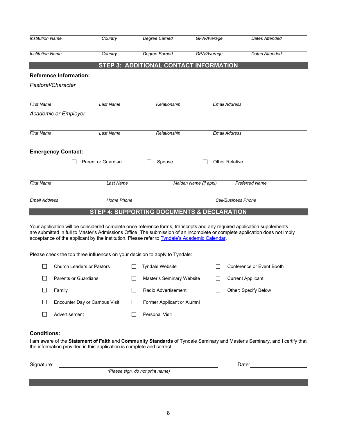| <b>Institution Name</b> |                               | Country                                                                                                                                                                             |              | Degree Earned                                         | GPA/Average           | Dates Attended                                                                                                                                                                                                                                         |
|-------------------------|-------------------------------|-------------------------------------------------------------------------------------------------------------------------------------------------------------------------------------|--------------|-------------------------------------------------------|-----------------------|--------------------------------------------------------------------------------------------------------------------------------------------------------------------------------------------------------------------------------------------------------|
| <b>Institution Name</b> |                               | Country                                                                                                                                                                             |              | Degree Earned                                         | GPA/Average           | Dates Attended                                                                                                                                                                                                                                         |
|                         |                               |                                                                                                                                                                                     |              | STEP 3: ADDITIONAL CONTACT INFORMATION                |                       |                                                                                                                                                                                                                                                        |
|                         | <b>Reference Information:</b> |                                                                                                                                                                                     |              |                                                       |                       |                                                                                                                                                                                                                                                        |
|                         | Pastoral/Character            |                                                                                                                                                                                     |              |                                                       |                       |                                                                                                                                                                                                                                                        |
| <b>First Name</b>       |                               | Last Name                                                                                                                                                                           |              | Relationship                                          |                       | <b>Email Address</b>                                                                                                                                                                                                                                   |
|                         | <b>Academic or Employer</b>   |                                                                                                                                                                                     |              |                                                       |                       |                                                                                                                                                                                                                                                        |
| <b>First Name</b>       |                               | Last Name                                                                                                                                                                           |              | Relationship                                          |                       | <b>Email Address</b>                                                                                                                                                                                                                                   |
|                         | <b>Emergency Contact:</b>     |                                                                                                                                                                                     |              |                                                       |                       |                                                                                                                                                                                                                                                        |
|                         |                               | Parent or Guardian                                                                                                                                                                  |              | Spouse                                                |                       | <b>Other Relative</b>                                                                                                                                                                                                                                  |
| <b>First Name</b>       |                               | Last Name                                                                                                                                                                           |              |                                                       | Maiden Name (if appl) | <b>Preferred Name</b>                                                                                                                                                                                                                                  |
| <b>Email Address</b>    |                               | Home Phone                                                                                                                                                                          |              |                                                       |                       | Cell/Business Phone                                                                                                                                                                                                                                    |
|                         |                               |                                                                                                                                                                                     |              | <b>STEP 4: SUPPORTING DOCUMENTS &amp; DECLARATION</b> |                       |                                                                                                                                                                                                                                                        |
|                         |                               | acceptance of the applicant by the institution. Please refer to <b>Tyndale's Academic Calendar</b> .<br>Please check the top three influences on your decision to apply to Tyndale: |              |                                                       |                       | Your application will be considered complete once reference forms, transcripts and any required application supplements<br>are submitted in full to Master's Admissions Office. The submission of an incomplete or complete application does not imply |
|                         |                               | <b>Church Leaders or Pastors</b>                                                                                                                                                    |              | <b>Tyndale Website</b>                                |                       | Conference or Event Booth                                                                                                                                                                                                                              |
|                         | Parents or Guardians          |                                                                                                                                                                                     |              | Master's Seminary Website                             |                       | <b>Current Applicant</b>                                                                                                                                                                                                                               |
|                         | Family                        |                                                                                                                                                                                     |              | Radio Advertisement                                   |                       | Other: Specify Below                                                                                                                                                                                                                                   |
| $\mathbf{I}$            |                               | Encounter Day or Campus Visit                                                                                                                                                       | $\mathbf{I}$ | Former Applicant or Alumni                            |                       |                                                                                                                                                                                                                                                        |
|                         | Advertisement                 |                                                                                                                                                                                     | $\mathbf{I}$ | Personal Visit                                        |                       |                                                                                                                                                                                                                                                        |
| <b>Conditions:</b>      |                               | the information provided in this application is complete and correct.                                                                                                               |              |                                                       |                       | I am aware of the Statement of Faith and Community Standards of Tyndale Seminary and Master's Seminary, and I certify that                                                                                                                             |

| Sign<br>nature. |              |  |  |  | ----- |
|-----------------|--------------|--|--|--|-------|
|                 | $\sim$ $  -$ |  |  |  |       |

*(Please sign, do not print name)*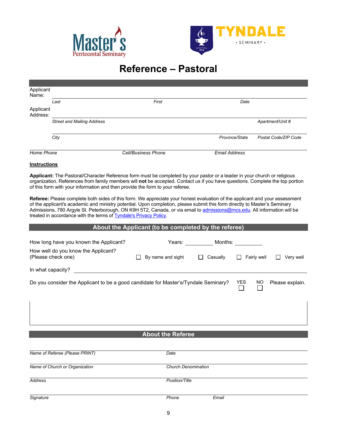



# **Reference – Pastoral**

| Applicant             |                                   |                     |                      |                      |
|-----------------------|-----------------------------------|---------------------|----------------------|----------------------|
| Name:                 |                                   |                     |                      |                      |
|                       | Last                              | First               | Date                 |                      |
| Applicant<br>Address: |                                   |                     |                      |                      |
|                       | <b>Street and Mailing Address</b> |                     |                      | Apartment/Unit #     |
|                       | City                              |                     | Province/State       | Postal Code/ZIP Code |
| Home Phone            |                                   | Cell/Business Phone | <b>Email Address</b> |                      |

#### **Instructions**

**Applicant:** The Pastoral/Character Reference form must be completed by your pastor or a leader in your church or religious organization. References from family members will **not** be accepted. Contact us if you have questions. Complete the top portion of this form with your information and then provide the form to your referee.

**Referee:** Please complete both sides of this form. We appreciate your honest evaluation of the applicant and your assessment of the applicant's academic and ministry potential. Upon completion, please submit this form directly to Master's Seminary Admissions, 780 Argyle St. Peterborough, ON K9H 5T2, Canada, or via email to [admissions@mcs.edu.](mailto:admissions@mcs.edu) All information will be treated in accordance with the terms of [Tyndale's](https://www.tyndale.ca/privacy) Privacy Policy.

| About the Applicant (to be completed by the referee)                                |                   |          |                 |             |  |           |  |
|-------------------------------------------------------------------------------------|-------------------|----------|-----------------|-------------|--|-----------|--|
| How long have you known the Applicant?                                              | Years:            | Months:  |                 |             |  |           |  |
| How well do you know the Applicant?<br>(Please check one)                           | By name and sight | Casually | $\mathsf{L}$    | Fairly well |  | Very well |  |
| In what capacity?                                                                   |                   |          |                 |             |  |           |  |
| Do you consider the Applicant to be a good candidate for Master's/Tyndale Seminary? | YES               | NO.      | Please explain. |             |  |           |  |
|                                                                                     |                   |          |                 |             |  |           |  |

### **About the Referee**

| Name of Referee (Please PRINT) | Date                       |
|--------------------------------|----------------------------|
| Name of Church or Organization | <b>Church Denomination</b> |
| <b>Address</b>                 | Position/Title             |
| Signature                      | Phone<br>Email             |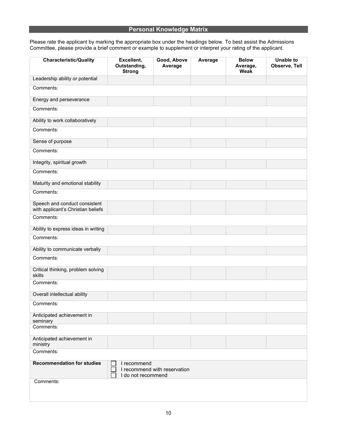### **Personal Knowledge Matrix**

Please rate the applicant by marking the appropriate box under the headings below. To best assist the Admissions Committee, please provide a brief comment or example to supplement or interpret your rating of the applicant.

| <b>Characteristic/Quality</b>                                       | Excellent,<br>Outstanding,<br><b>Strong</b> | Good, Above<br>Average       | Average | <b>Below</b><br>Average,<br>Weak | <b>Unable to</b><br>Observe, Tell |
|---------------------------------------------------------------------|---------------------------------------------|------------------------------|---------|----------------------------------|-----------------------------------|
| Leadership ability or potential                                     |                                             |                              |         |                                  |                                   |
| Comments:                                                           |                                             |                              |         |                                  |                                   |
| Energy and perseverance                                             |                                             |                              |         |                                  |                                   |
| Comments:                                                           |                                             |                              |         |                                  |                                   |
| Ability to work collaboratively                                     |                                             |                              |         |                                  |                                   |
| Comments:                                                           |                                             |                              |         |                                  |                                   |
| Sense of purpose                                                    |                                             |                              |         |                                  |                                   |
| Comments:                                                           |                                             |                              |         |                                  |                                   |
| Integrity, spiritual growth                                         |                                             |                              |         |                                  |                                   |
| Comments:                                                           |                                             |                              |         |                                  |                                   |
| Maturity and emotional stability                                    |                                             |                              |         |                                  |                                   |
| Comments:                                                           |                                             |                              |         |                                  |                                   |
| Speech and conduct consistent<br>with applicant's Christian beliefs |                                             |                              |         |                                  |                                   |
| Comments:                                                           |                                             |                              |         |                                  |                                   |
| Ability to express ideas in writing                                 |                                             |                              |         |                                  |                                   |
| Comments:                                                           |                                             |                              |         |                                  |                                   |
| Ability to communicate verbally                                     |                                             |                              |         |                                  |                                   |
| Comments:                                                           |                                             |                              |         |                                  |                                   |
| Critical thinking, problem solving<br>skills                        |                                             |                              |         |                                  |                                   |
| Comments:                                                           |                                             |                              |         |                                  |                                   |
| Overall intellectual ability                                        |                                             |                              |         |                                  |                                   |
| Comments:                                                           |                                             |                              |         |                                  |                                   |
| Anticipated achievement in<br>seminary                              |                                             |                              |         |                                  |                                   |
| Comments:                                                           |                                             |                              |         |                                  |                                   |
| Anticipated achievement in                                          |                                             |                              |         |                                  |                                   |
| ministry<br>Comments:                                               |                                             |                              |         |                                  |                                   |
|                                                                     |                                             |                              |         |                                  |                                   |
| <b>Recommendation for studies</b>                                   | I recommend<br>I do not recommend           | I recommend with reservation |         |                                  |                                   |
| Comments:                                                           |                                             |                              |         |                                  |                                   |
|                                                                     |                                             |                              |         |                                  |                                   |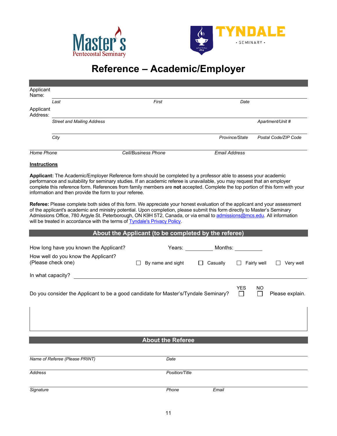



# **Reference – Academic/Employer**

| Applicant<br>Name:    |                                   |                     |                      |                      |
|-----------------------|-----------------------------------|---------------------|----------------------|----------------------|
|                       | Last                              | First               | Date                 |                      |
| Applicant<br>Address: |                                   |                     |                      |                      |
|                       | <b>Street and Mailing Address</b> |                     |                      | Apartment/Unit #     |
|                       | City                              |                     | Province/State       | Postal Code/ZIP Code |
| Home Phone            |                                   | Cell/Business Phone | <b>Email Address</b> |                      |

### **Instructions**

**Applicant:** The Academic/Employer Reference form should be completed by a professor able to assess your academic performance and suitability for seminary studies. If an academic referee is unavailable, you may request that an employer complete this reference form. References from family members are **not** accepted. Complete the top portion of this form with your information and then provide the form to your referee.

**Referee:** Please complete both sides of this form. We appreciate your honest evaluation of the applicant and your assessment of the applicant's academic and ministry potential. Upon completion, please submit this form directly to Master's Seminary Admissions Office, 780 Argyle St. Peterborough, ON K9H 5T2, Canada, or via email t[o admissions@mcs.edu.](mailto:admissions@mcs.edu) All information will be treated in accordance with the terms of **Tyndale's Privacy Policy**.

|                                                                                                     | About the Applicant (to be completed by the referee) |                            |                       |                 |  |  |  |
|-----------------------------------------------------------------------------------------------------|------------------------------------------------------|----------------------------|-----------------------|-----------------|--|--|--|
| How long have you known the Applicant?<br>How well do you know the Applicant?<br>(Please check one) | By name and sight                                    | Years: Months:<br>Casually | Fairly well<br>$\Box$ | Very well       |  |  |  |
|                                                                                                     |                                                      |                            |                       |                 |  |  |  |
| Do you consider the Applicant to be a good candidate for Master's/Tyndale Seminary?                 |                                                      |                            | YES.<br>NO.<br>$\Box$ | Please explain. |  |  |  |
|                                                                                                     |                                                      |                            |                       |                 |  |  |  |
|                                                                                                     | <b>About the Referee</b>                             |                            |                       |                 |  |  |  |
|                                                                                                     |                                                      |                            |                       |                 |  |  |  |
| Name of Referee (Please PRINT)                                                                      | Date                                                 |                            |                       |                 |  |  |  |
| <b>Address</b>                                                                                      | Position/Title                                       |                            |                       |                 |  |  |  |